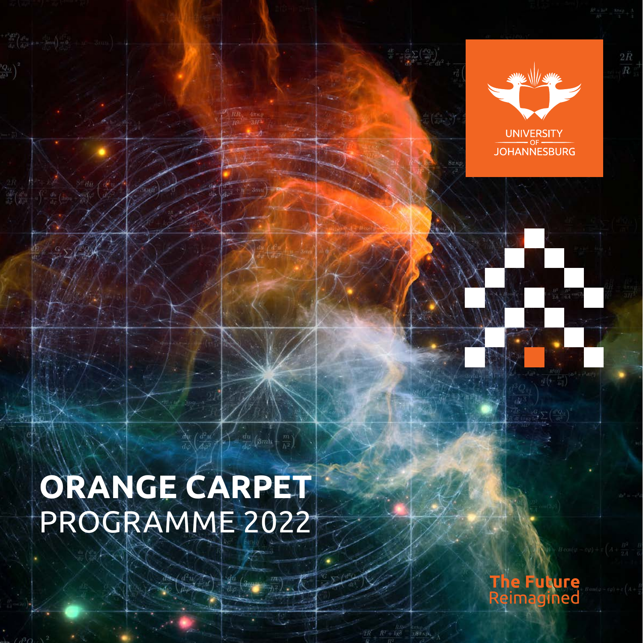



 $2\ddot{R}$ 

# **Orange Carpet** Programme 2022

 $\hat{p} = \frac{du}{d\omega} \left( 3mu + \frac{m}{h^2} \right)$ 



**18 TATAL**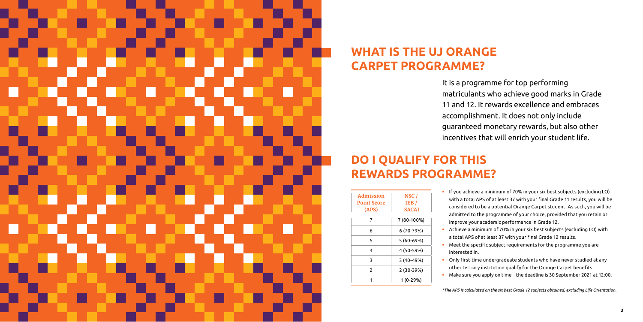

# **WHAT IS THE UJ ORANGE CARPET PROGRAMME?**

# **DO I QUALIFY FOR THIS REWARDS PROGRAMME?**

It is a programme for top performing matriculants who achieve good marks in Grade 11 and 12. It rewards excellence and embraces accomplishment. It does not only include guaranteed monetary rewards, but also other incentives that will enrich your student life.

 If you achieve a minimum of 70% in your six best subjects (excluding LO) with a total APS of at least 37 with your final Grade 11 results, you will be considered to be a potential Orange Carpet student. As such, you will be admitted to the programme of your choice, provided that you retain or improve your academic performance in Grade 12.

 Achieve a minimum of 70% in your six best subjects (excluding LO) with a total APS of at least 37 with your final Grade 12 results.

Meet the specific subject requirements for the programme you are

- 
- interested in.
- 
- 

 Only first-time undergraduate students who have never studied at any other tertiary institution qualify for the Orange Carpet benefits. Make sure you apply on time – the deadline is 30 September 2021 at 12:00.

*\*The APS is calculated on the six best Grade 12 subjects obtained, excluding Life Orientation.*

| Admission          | NSC/         |  |  |
|--------------------|--------------|--|--|
| <b>Point Score</b> | IEB/         |  |  |
| (APS)              | <b>SACAI</b> |  |  |
| 7                  | 7 (80-100%)  |  |  |
| 6                  | 6 (70-79%)   |  |  |
| 5                  | 5 (60-69%)   |  |  |
| 4                  | 4 (50-59%)   |  |  |
| 3                  | 3 (40-49%)   |  |  |
| 2                  | 2 (30-39%)   |  |  |
|                    | 1 (0-29%)    |  |  |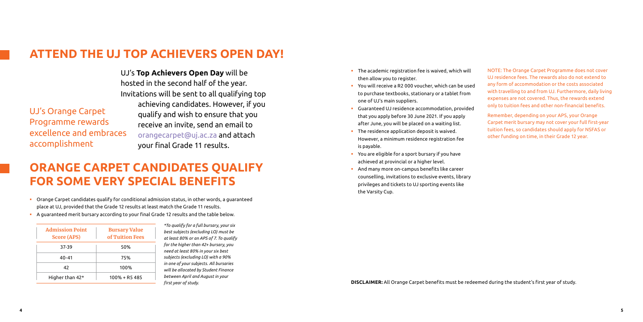# **ATTEND THE UJ TOP ACHIEVERS OPEN DAY!**

# **ORANGE CARPET CANDIDATES QUALIFY FOR SOME VERY SPECIAL BENEFITS**

UJ's **Top Achievers Open Day** will be hosted in the second half of the year. Invitations will be sent to all qualifying top achieving candidates. However, if you qualify and wish to ensure that you receive an invite, send an email to [orangecarpet@uj.ac.za](mailto:orangecarpet@uj.ac.za) and attach your final Grade 11 results.

- Orange Carpet candidates qualify for conditional admission status, in other words, a guaranteed place at UJ, provided that the Grade 12 results at least match the Grade 11 results.
- A guaranteed merit bursary according to your final Grade 12 results and the table below.

UJ's Orange Carpet Programme rewards excellence and embraces accomplishment

| <b>Admission Point</b><br><b>Score (APS)</b> | <b>Bursary Value</b><br>of Tuition Fees |
|----------------------------------------------|-----------------------------------------|
| 37.39                                        | 50%                                     |
| 40-41                                        | 75%                                     |
| 42                                           | 100%                                    |
| Higher than 42*                              | $100\% + R5485$                         |

- **The academic registration fee is waived, which will** then allow you to register.
- You will receive a R2 000 voucher, which can be used to purchase textbooks, stationary or a tablet from one of UJ's main suppliers.
- Guaranteed UJ residence accommodation, provided that you apply before 30 June 2021. If you apply after June, you will be placed on a waiting list.
- **The residence application deposit is waived.** However, a minimum residence registration fee is payable.
- You are eligible for a sport bursary if you have achieved at provincial or a higher level.
- And many more on-campus benefits like career counselling, invitations to exclusive events, library privileges and tickets to UJ sporting events like the Varsity Cup.

*\*To qualify for a full bursary, your six best subjects (excluding LO) must be at least 80% or an APS of 7. To qualify for the higher than 42+ bursary, you need at least 80% in your six best subjects (excluding LO) with a 90% in one of your subjects. All bursaries will be allocated by Student Finance between April and August in your first year of study.*

### NOTE: The Orange Carpet Programme does not cover UJ residence fees. The rewards also do not extend to any form of accommodation or the costs associated with travelling to and from UJ. Furthermore, daily living expenses are not covered. Thus, the rewards extend only to tuition fees and other non-financial benefits.

Remember, depending on your APS, your Orange Carpet merit bursary may not cover your full first-year tuition fees, so candidates should apply for NSFAS or other funding on time, in their Grade 12 year.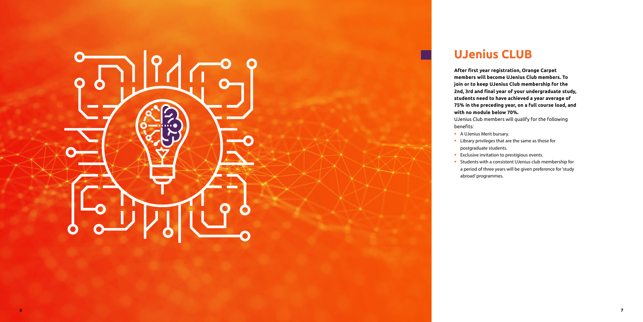# **UJenius CLUB**

**After first year registration, Orange Carpet members will become UJenius Club members. To join or to keep UJenius Club membership for the 2nd, 3rd and final year of your undergraduate study, students need to have achieved a year average of 75% in the preceding year, on a full course load, and with no module below 70%.**

- **Library privileges that are the same as those for** 
	-
- **Exclusive invitation to prestigious events.**
- **Students with a consistent UJenius club membership for**
- a period of three years will be given preference for 'study

UJenius Club members will qualify for the following

# . . . . .

benefits:

- A UJenius Merit bursary.
- postgraduate students.
- 
- abroad' programmes.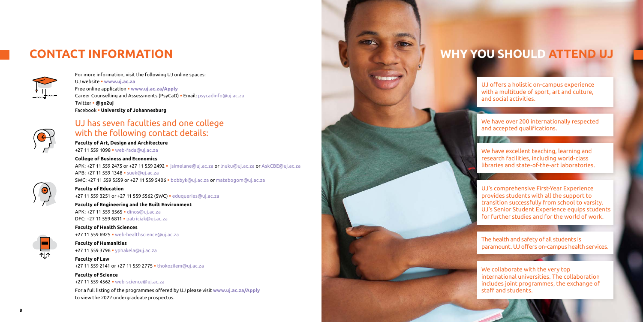

For more information, visit the following UJ online spaces: UJ website **· [www.uj.ac.za](http://www.uj.ac.za)** Free online application **• <www.uj.ac.za/Apply>** Career Counselling and Assessments (PsyCaD) · Email: [psycadinfo@uj.ac.za](mailto:psycadinfo@uj.ac.za) Twitter § **@go2uj** Facebook § **University of Johannesburg**



**Faculty of Art, Design and Architecture** +27 11 559 1098 · [web-fada@uj.ac.za](mailto:web-fada@uj.ac.za)

# UJ has seven faculties and one college with the following contact details:

APK: +27 11 559 2475 or +27 11 559 2492 • [jsimelane@uj.ac.za](mailto: jsimelane@uj.ac.za) or [lnuku@uj.ac.za](mailto:lnuku@uj.ac.za) or [AskCBE@uj.ac.za](mailto:AskCBE@uj.ac.za) APB: +27 11 559 1348 • [suek@uj.ac.za](mailto:suek@uj.ac.za) SWC: +27 11 559 5559 or +27 11 559 5406 § [bobbyk@uj.ac.za](mailto:bobbyk@uj.ac.za) or [matebogom@uj.ac.za](mailto:matebogom@uj.ac.za)

**Faculty of Education** +27 11 559 3251 or +27 11 559 5562 (SWC) · [eduqueries@uj.ac.za](mailto:eduqueries@uj.ac.za)

**Faculty of Engineering and the Built Environment** APK: +27 11 559 3565 · [dinos@uj.ac.za](mailto:dinos@uj.ac.za) DFC: +27 11 559 6811 · [patriciak@uj.ac.za](mailto:patriciak@uj.ac.za)

### **College of Business and Economics**

### **Faculty of Humanities** +27 11 559 3796 · [yphakela@uj.ac.za](mailto:yphakela@uj.ac.za)

**Faculty of Law** +27 11 559 2141 or +27 11 559 2775 • [thokozilem@uj.ac.za](mailto:thokozilem@uj.ac.za)

# **Faculty of Science** +27 11 559 4562 • [web-science@uj.ac.za](mailto:web-science@uj.ac.za)



### **Faculty of Health Sciences**

+27 11 559 6925 • [web-healthscience@uj.ac.za](mailto:web-healthscience@uj.ac.za)

For a full listing of the programmes offered by UJ please visit **[www.uj.ac.za/Apply](http://www.uj.ac.za/Apply)** to view the 2022 undergraduate prospectus.

We have excellent teaching, learning and research facilities, including world-class libraries and state-of-the-art laboratories.

We collaborate with the very top international universities. The collaboration includes joint programmes, the exchange of staff and students.

UJ's comprehensive First-Year Experience provides students with all the support to transition successfully from school to varsity. UJ's Senior Student Experience equips students for further studies and for the world of work.

UJ offers a holistic on-campus experience with a multitude of sport, art and culture, and social activities.

The health and safety of all students is paramount. UJ offers on-campus health services.

We have over 200 internationally respected and accepted qualifications.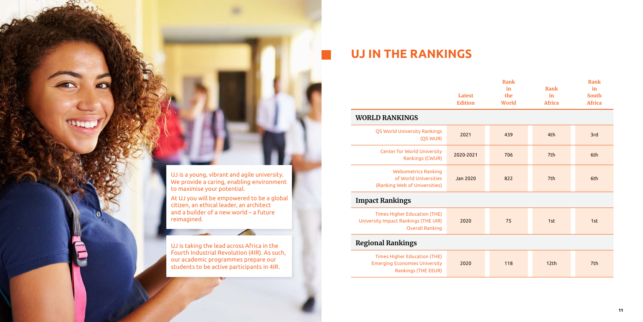

# **UJ IN THE RANKINGS**

# **Latest**

|                                                                                                       | Latest<br><b>Edition</b> | Rank<br>in<br>the<br>World | Rank<br>in<br><b>Africa</b> | Rank<br>in<br><b>South</b><br><b>Africa</b> |
|-------------------------------------------------------------------------------------------------------|--------------------------|----------------------------|-----------------------------|---------------------------------------------|
| <b>WORLD RANKINGS</b>                                                                                 |                          |                            |                             |                                             |
| QS World University Rankings<br>(QS WUR)                                                              | 2021                     | 439                        | 4th                         | 3rd                                         |
| <b>Center for World University</b><br>Rankings (CWUR)                                                 | 2020-2021                | 706                        | 7 <sub>th</sub>             | 6th                                         |
| <b>Webometrics Ranking</b><br>of World Universities<br>(Ranking Web of Universities)                  | Jan 2020                 | 822                        | 7 <sub>th</sub>             | 6th                                         |
| <b>Impact Rankings</b>                                                                                |                          |                            |                             |                                             |
| <b>Times Higher Education (THE)</b><br>University Impact Rankings (THE UIR)<br><b>Overall Ranking</b> | 2020                     | 75                         | 1st                         | 1st                                         |
| <b>Regional Rankings</b>                                                                              |                          |                            |                             |                                             |
| <b>Times Higher Education (THE)</b><br><b>Emerging Economies University</b><br>Rankings (THE EEUR)    | 2020                     | 118                        | 12 <sub>th</sub>            | 7 <sub>th</sub>                             |

# **Impact Rankings**

| <b>Times Higher Education (THE)</b>         |  |
|---------------------------------------------|--|
| <b>Iniversity Impact Rankings (THE UIR)</b> |  |
| <b>Overall Ranking</b>                      |  |

# **Regional Rankings**

|      | <b>Times Higher Education (THE)</b>  |
|------|--------------------------------------|
| 2020 | <b>Emerging Economies University</b> |
|      | Rankings (THE EEUR)                  |